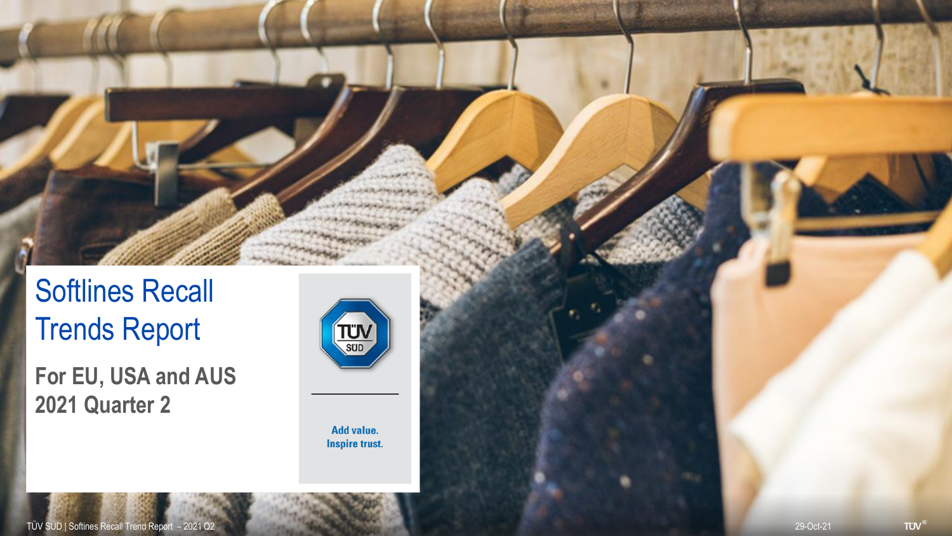Softlines Recall Trends Report

**For EU, USA and AUS 2021 Quarter 2**



Add value. **Inspire trust.**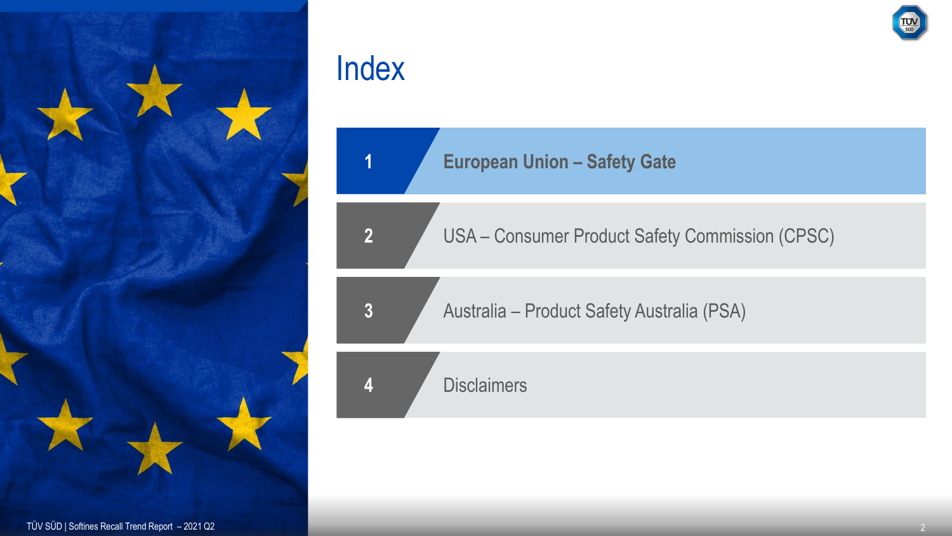

**European Union – Safety Gate**

USA – Consumer Product Safety Commission (CPSC)

Australia – Product Safety Australia (PSA)

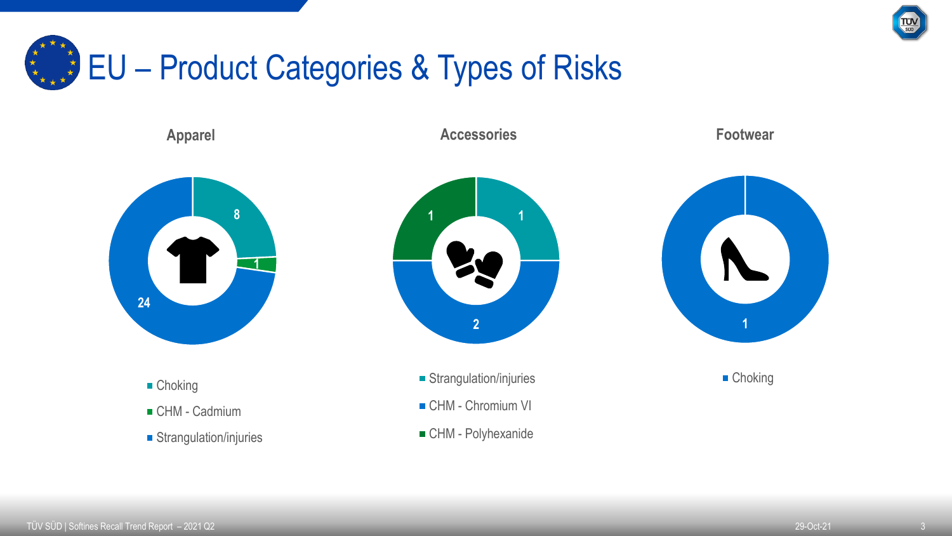

## EU – Product Categories & Types of Risks

**Apparel**

**Accessories**

**Footwear**



- Choking
- CHM Cadmium
- Strangulation/injuries



- **Strangulation/injuries**
- CHM Chromium VI
- CHM Polyhexanide



■ Choking

TÜV SÜD | Softines Recall Trend Report – 2021 Q2 29-Oct-21 29-Oct-21 29-Oct-21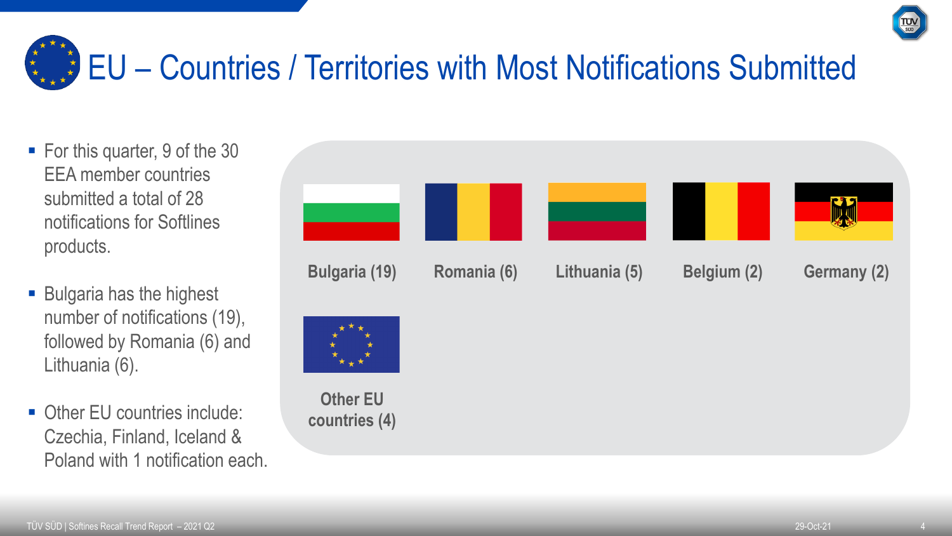

# EU – Countries / Territories with Most Notifications Submitted

- For this quarter, 9 of the 30 EEA member countries submitted a total of 28 notifications for Softlines products.
- Bulgaria has the highest number of notifications (19), followed by Romania (6) and Lithuania (6).
- Other EU countries include: Czechia, Finland, Iceland & Poland with 1 notification each.

| <b>Bulgaria (19)</b>             | Romania (6) | Lithuania (5) | Belgium (2) | <b>Germany (2)</b> |
|----------------------------------|-------------|---------------|-------------|--------------------|
|                                  |             |               |             |                    |
| <b>Other EU</b><br>countries (4) |             |               |             |                    |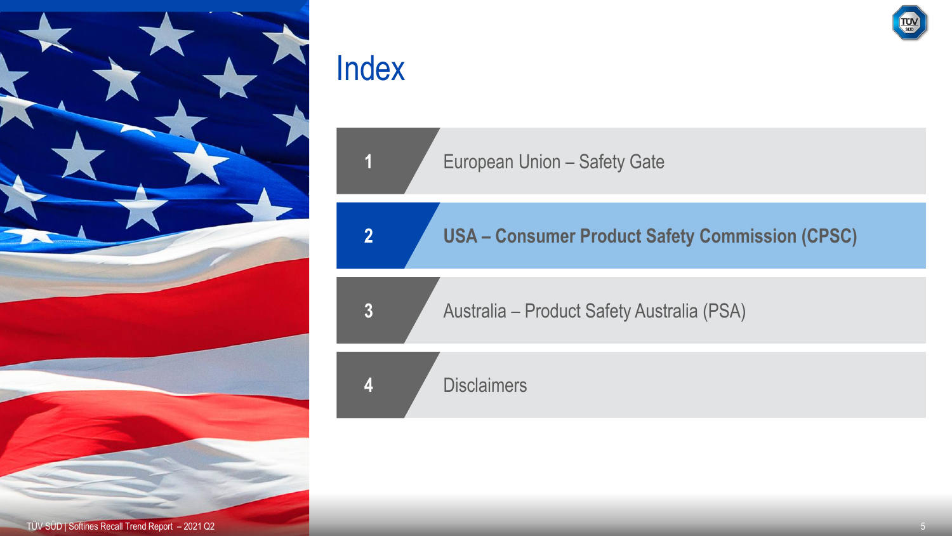

**European Union – Safety Gate** 

**2 USA – Consumer Product Safety Commission (CPSC)**

**3** Australia – Product Safety Australia (PSA)

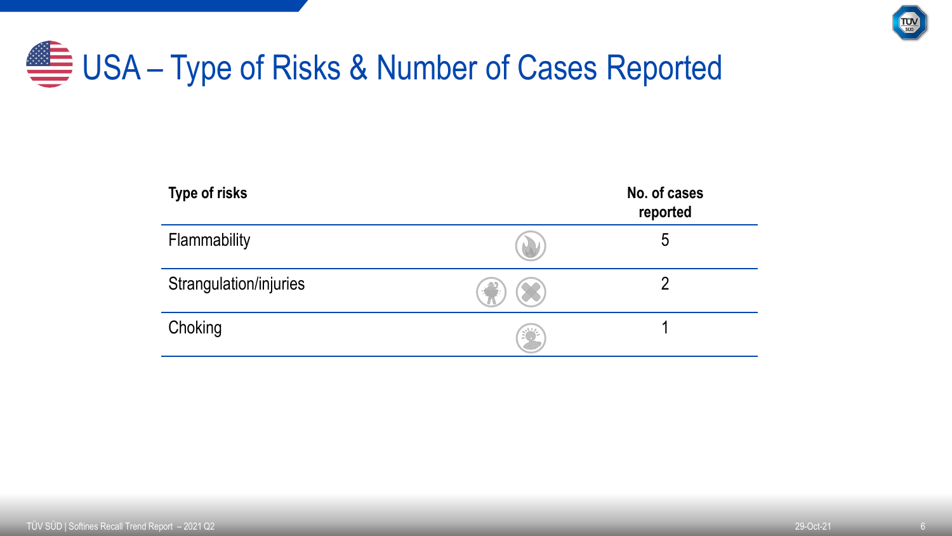

# USA – Type of Risks & Number of Cases Reported

| Type of risks          |                  | No. of cases<br>reported |
|------------------------|------------------|--------------------------|
| Flammability           |                  | 5                        |
| Strangulation/injuries |                  |                          |
| Choking                | $\sum_{i=1}^{n}$ |                          |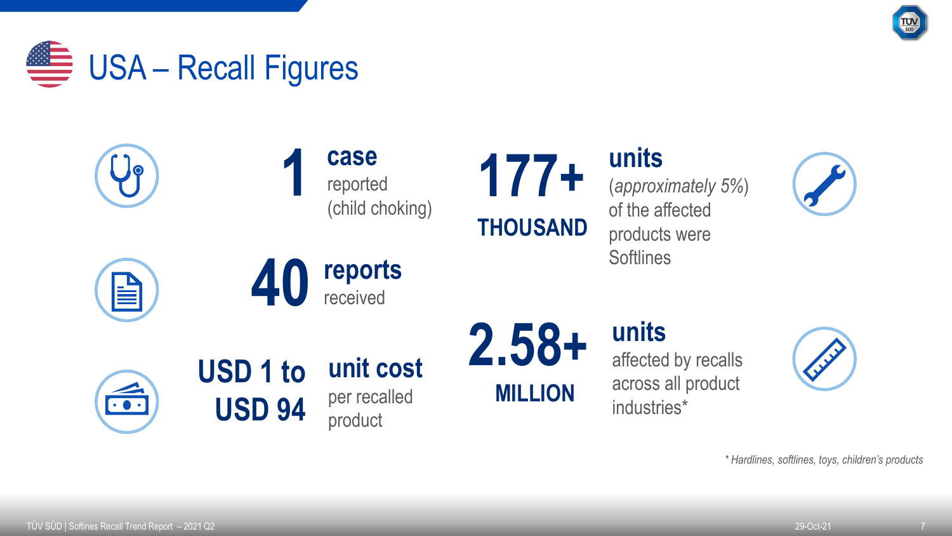



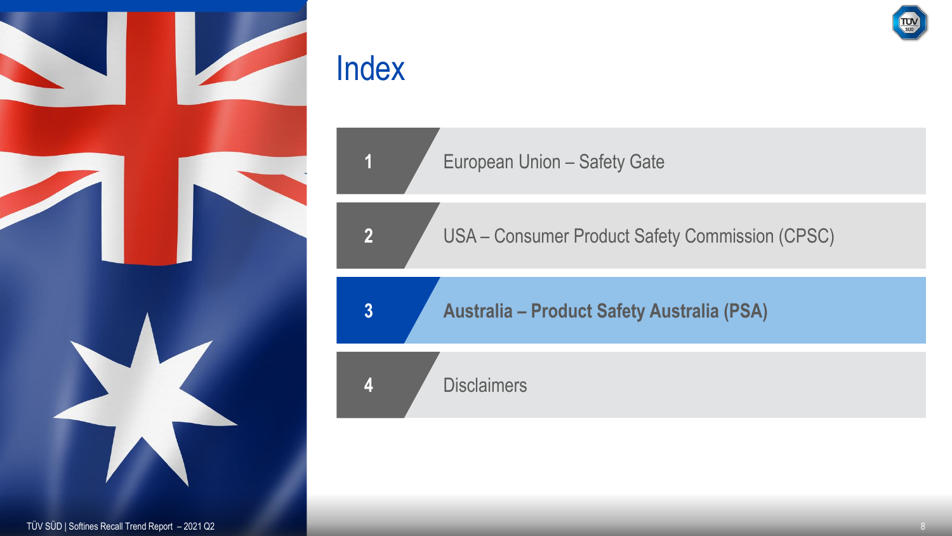



USA – Consumer Product Safety Commission (CPSC)

**Australia – Product Safety Australia (PSA)**

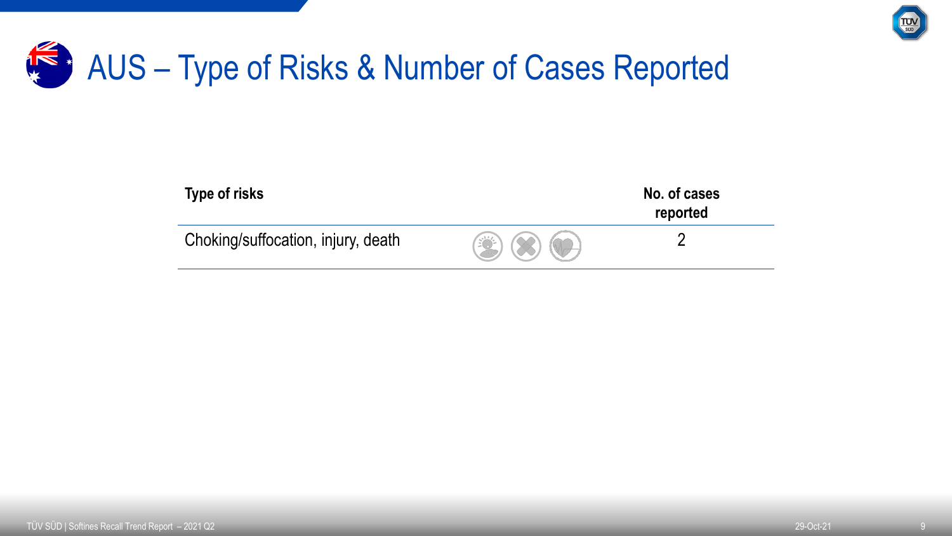

### K & AUS – Type of Risks & Number of Cases Reported

| Type of risks                      |                                       | No. of cases<br>reported |
|------------------------------------|---------------------------------------|--------------------------|
| Choking/suffocation, injury, death | $\circledast$ $\otimes$ $\circledast$ |                          |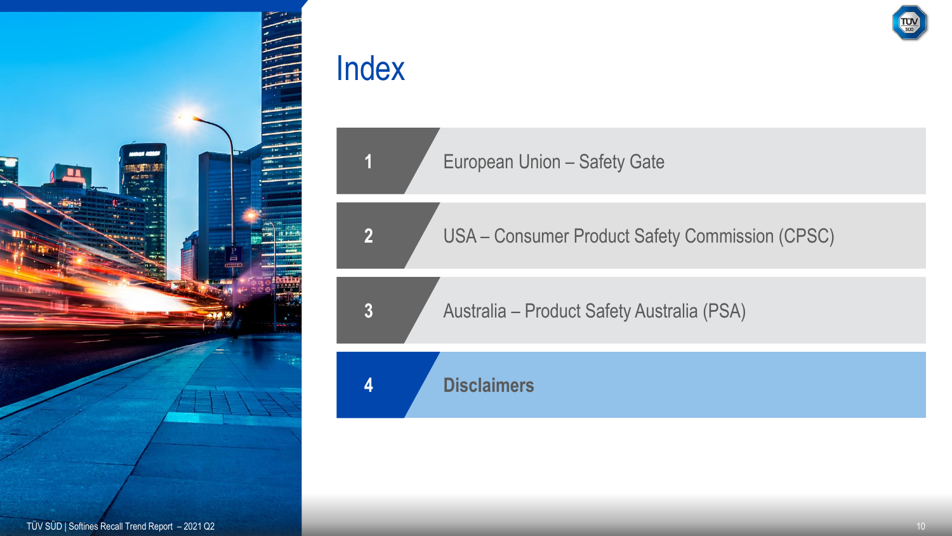

European Union – Safety Gate

USA – Consumer Product Safety Commission (CPSC)

Australia – Product Safety Australia (PSA)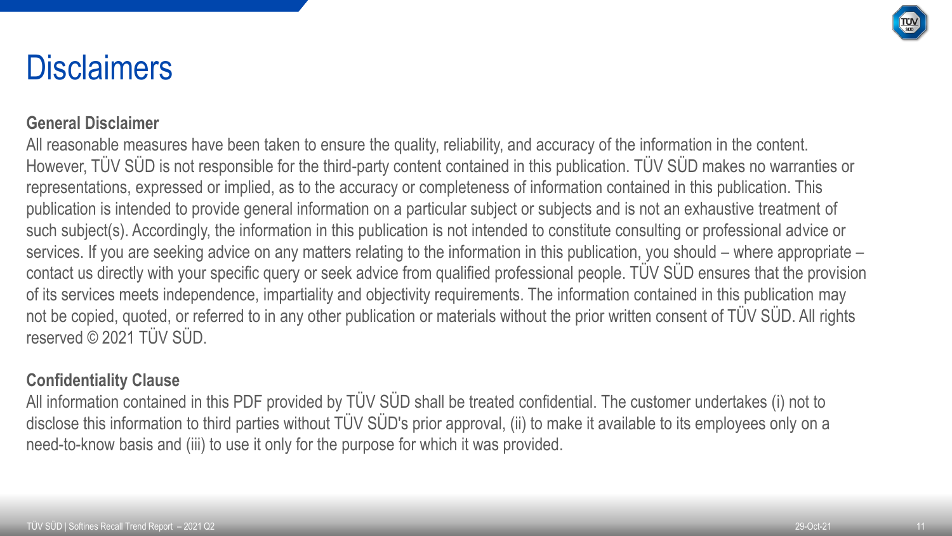

### **Disclaimers**

#### **General Disclaimer**

All reasonable measures have been taken to ensure the quality, reliability, and accuracy of the information in the content. However, TÜV SÜD is not responsible for the third-party content contained in this publication. TÜV SÜD makes no warranties or representations, expressed or implied, as to the accuracy or completeness of information contained in this publication. This publication is intended to provide general information on a particular subject or subjects and is not an exhaustive treatment of such subject(s). Accordingly, the information in this publication is not intended to constitute consulting or professional advice or services. If you are seeking advice on any matters relating to the information in this publication, you should – where appropriate – contact us directly with your specific query or seek advice from qualified professional people. TÜV SÜD ensures that the provision of its services meets independence, impartiality and objectivity requirements. The information contained in this publication may not be copied, quoted, or referred to in any other publication or materials without the prior written consent of TÜV SÜD. All rights reserved © 2021 TÜV SÜD.

#### **Confidentiality Clause**

All information contained in this PDF provided by TÜV SÜD shall be treated confidential. The customer undertakes (i) not to disclose this information to third parties without TÜV SÜD's prior approval, (ii) to make it available to its employees only on a need-to-know basis and (iii) to use it only for the purpose for which it was provided.

11